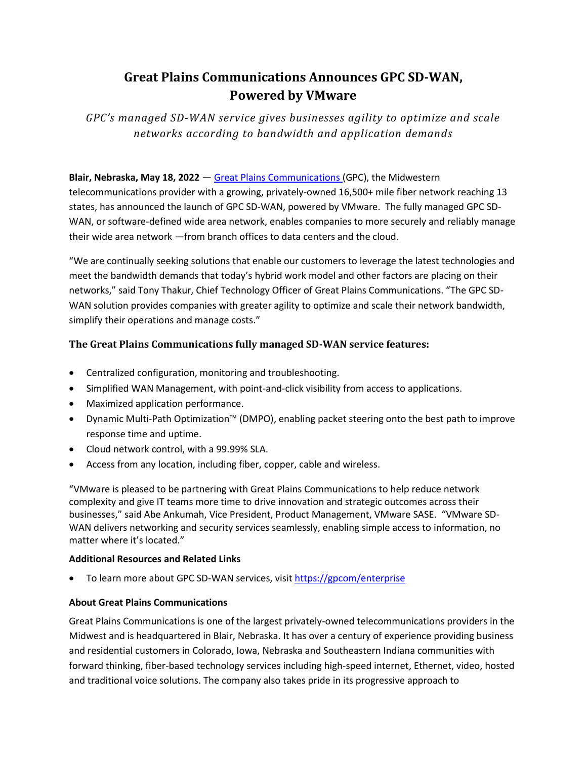# **Great Plains Communications Announces GPC SD-WAN, Powered by VMware**

*GPC's managed SD-WAN service gives businesses agility to optimize and scale networks according to bandwidth and application demands*

## **Blair, Nebraska, May 18, 2022** — [Great Plains Communications](https://gpcom.com/) (GPC), the Midwestern

telecommunications provider with a growing, privately-owned 16,500+ mile fiber network reaching 13 states, has announced the launch of GPC SD-WAN, powered by VMware. The fully managed GPC SD-WAN, or software-defined wide area network, enables companies to more securely and reliably manage their wide area network —from branch offices to data centers and the cloud.

"We are continually seeking solutions that enable our customers to leverage the latest technologies and meet the bandwidth demands that today's hybrid work model and other factors are placing on their networks," said Tony Thakur, Chief Technology Officer of Great Plains Communications. "The GPC SD-WAN solution provides companies with greater agility to optimize and scale their network bandwidth, simplify their operations and manage costs."

## **The Great Plains Communications fully managed SD-WAN service features:**

- Centralized configuration, monitoring and troubleshooting.
- Simplified WAN Management, with point-and-click visibility from access to applications.
- Maximized application performance.
- Dynamic Multi-Path Optimization™ (DMPO), enabling packet steering onto the best path to improve response time and uptime.
- Cloud network control, with a 99.99% SLA.
- Access from any location, including fiber, copper, cable and wireless.

"VMware is pleased to be partnering with Great Plains Communications to help reduce network complexity and give IT teams more time to drive innovation and strategic outcomes across their businesses," said Abe Ankumah, Vice President, Product Management, VMware SASE. "VMware SD-WAN delivers networking and security services seamlessly, enabling simple access to information, no matter where it's located."

### **Additional Resources and Related Links**

• To learn more about GPC SD-WAN services, visi[t https://gpcom/enterprise](https://gpcom/enterprise)

### **About Great Plains Communications**

Great Plains Communications is one of the largest privately-owned telecommunications providers in the Midwest and is headquartered in Blair, Nebraska. It has over a century of experience providing business and residential customers in Colorado, Iowa, Nebraska and Southeastern Indiana communities with forward thinking, fiber-based technology services including high-speed internet, Ethernet, video, hosted and traditional voice solutions. The company also takes pride in its progressive approach to